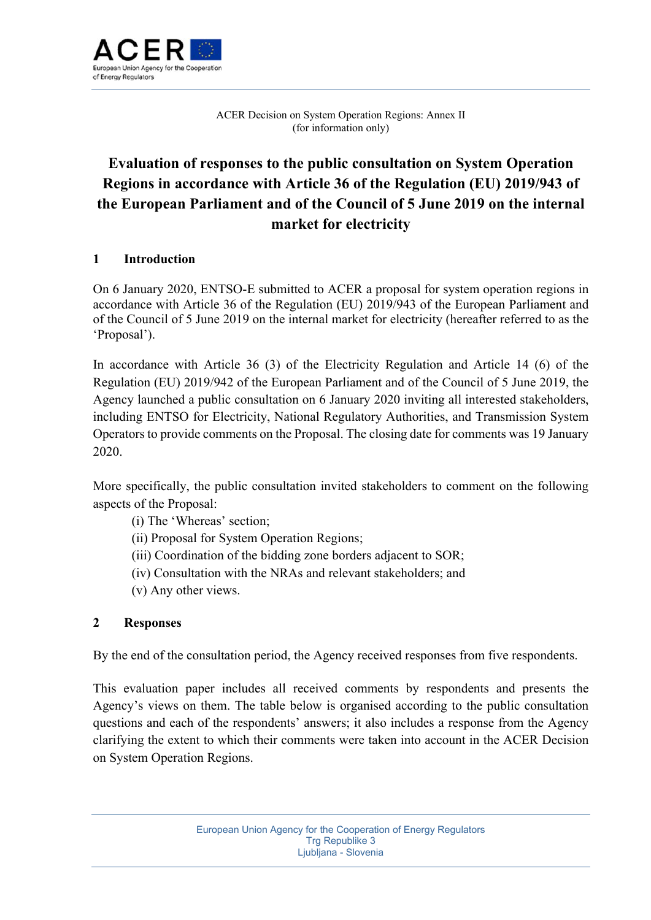

ACER Decision on System Operation Regions: Annex II (for information only)

# **Evaluation of responses to the public consultation on System Operation Regions in accordance with Article 36 of the Regulation (EU) 2019/943 of the European Parliament and of the Council of 5 June 2019 on the internal market for electricity**

## **1 Introduction**

On 6 January 2020, ENTSO-E submitted to ACER a proposal for system operation regions in accordance with Article 36 of the Regulation (EU) 2019/943 of the European Parliament and of the Council of 5 June 2019 on the internal market for electricity (hereafter referred to as the 'Proposal').

In accordance with Article 36 (3) of the Electricity Regulation and Article 14 (6) of the Regulation (EU) 2019/942 of the European Parliament and of the Council of 5 June 2019, the Agency launched a public consultation on 6 January 2020 inviting all interested stakeholders, including ENTSO for Electricity, National Regulatory Authorities, and Transmission System Operators to provide comments on the Proposal. The closing date for comments was 19 January 2020.

More specifically, the public consultation invited stakeholders to comment on the following aspects of the Proposal:

- (i) The 'Whereas' section;
- (ii) Proposal for System Operation Regions;
- (iii) Coordination of the bidding zone borders adjacent to SOR;
- (iv) Consultation with the NRAs and relevant stakeholders; and
- (v) Any other views.

## **2 Responses**

By the end of the consultation period, the Agency received responses from five respondents.

This evaluation paper includes all received comments by respondents and presents the Agency's views on them. The table below is organised according to the public consultation questions and each of the respondents' answers; it also includes a response from the Agency clarifying the extent to which their comments were taken into account in the ACER Decision on System Operation Regions.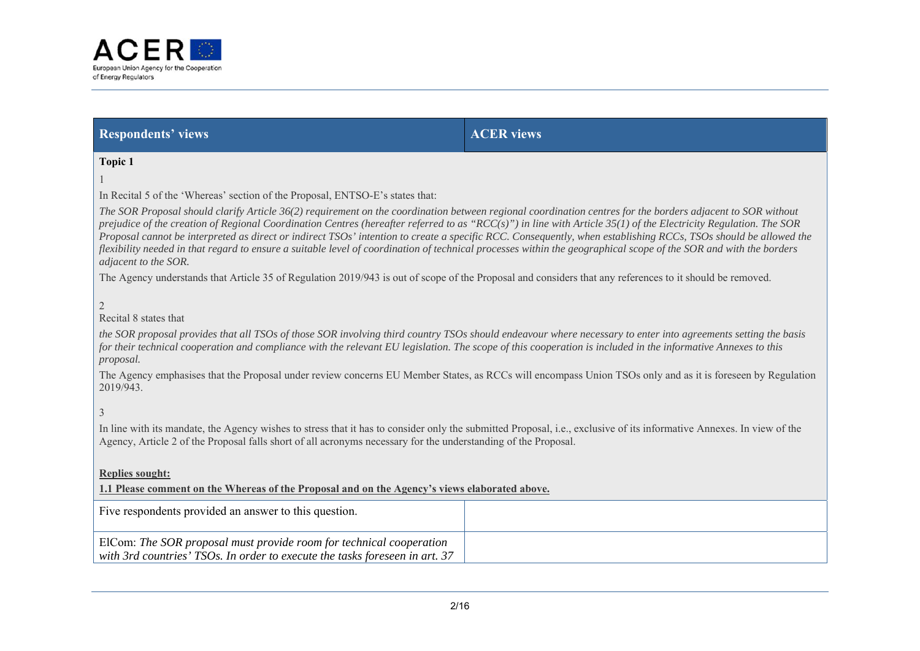

**Respondents' views ACER views ACER views** 

**Topic 1** 

1

In Recital 5 of the 'Whereas' section of the Proposal, ENTSO-E's states that:

*The SOR Proposal should clarify Article 36(2) requirement on the coordination between regional coordination centres for the borders adjacent to SOR without prejudice of the creation of Regional Coordination Centres (hereafter referred to as "RCC(s)") in line with Article 35(1) of the Electricity Regulation. The SOR Proposal cannot be interpreted as direct or indirect TSOs' intention to create a specific RCC. Consequently, when establishing RCCs, TSOs should be allowed the flexibility needed in that regard to ensure a suitable level of coordination of technical processes within the geographical scope of the SOR and with the borders adjacent to the SOR.*

The Agency understands that Article 35 of Regulation 2019/943 is out of scope of the Proposal and considers that any references to it should be removed.

2

Recital 8 states that

*the SOR proposal provides that all TSOs of those SOR involving third country TSOs should endeavour where necessary to enter into agreements setting the basis for their technical cooperation and compliance with the relevant EU legislation. The scope of this cooperation is included in the informative Annexes to this proposal.*

The Agency emphasises that the Proposal under review concerns EU Member States, as RCCs will encompass Union TSOs only and as it is foreseen by Regulation 2019/943.

3

In line with its mandate, the Agency wishes to stress that it has to consider only the submitted Proposal, i.e., exclusive of its informative Annexes. In view of the Agency, Article 2 of the Proposal falls short of all acronyms necessary for the understanding of the Proposal.

**Replies sought:**

**1.1 Please comment on the Whereas of the Proposal and on the Agency's views elaborated above.**

| Five respondents provided an answer to this question.                                                                                              |  |
|----------------------------------------------------------------------------------------------------------------------------------------------------|--|
| ElCom: The SOR proposal must provide room for technical cooperation<br>with 3rd countries' TSOs. In order to execute the tasks foreseen in art. 37 |  |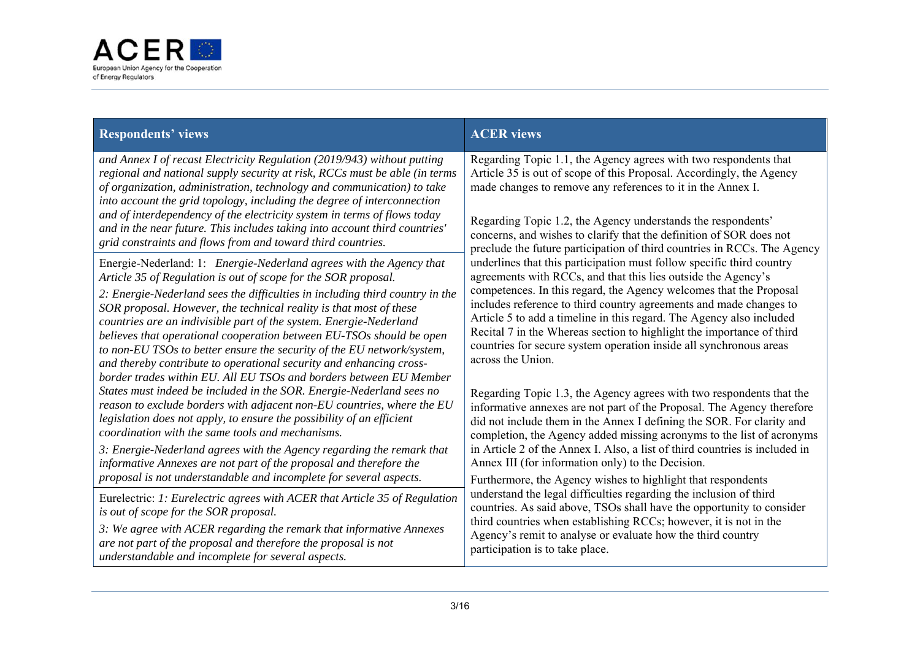

| <b>Respondents' views</b>                                                                                                                                                                                                                                                                                                                                                                                                                                                                                                           | <b>ACER</b> views                                                                                                                                                                                                                                                                                                                                                                                                          |  |
|-------------------------------------------------------------------------------------------------------------------------------------------------------------------------------------------------------------------------------------------------------------------------------------------------------------------------------------------------------------------------------------------------------------------------------------------------------------------------------------------------------------------------------------|----------------------------------------------------------------------------------------------------------------------------------------------------------------------------------------------------------------------------------------------------------------------------------------------------------------------------------------------------------------------------------------------------------------------------|--|
| and Annex I of recast Electricity Regulation (2019/943) without putting<br>regional and national supply security at risk, RCCs must be able (in terms<br>of organization, administration, technology and communication) to take<br>into account the grid topology, including the degree of interconnection<br>and of interdependency of the electricity system in terms of flows today<br>and in the near future. This includes taking into account third countries'<br>grid constraints and flows from and toward third countries. | Regarding Topic 1.1, the Agency agrees with two respondents that<br>Article 35 is out of scope of this Proposal. Accordingly, the Agency<br>made changes to remove any references to it in the Annex I.<br>Regarding Topic 1.2, the Agency understands the respondents'<br>concerns, and wishes to clarify that the definition of SOR does not<br>preclude the future participation of third countries in RCCs. The Agency |  |
| Energie-Nederland: 1: Energie-Nederland agrees with the Agency that                                                                                                                                                                                                                                                                                                                                                                                                                                                                 | underlines that this participation must follow specific third country                                                                                                                                                                                                                                                                                                                                                      |  |
| Article 35 of Regulation is out of scope for the SOR proposal.                                                                                                                                                                                                                                                                                                                                                                                                                                                                      | agreements with RCCs, and that this lies outside the Agency's                                                                                                                                                                                                                                                                                                                                                              |  |
| 2: Energie-Nederland sees the difficulties in including third country in the<br>SOR proposal. However, the technical reality is that most of these<br>countries are an indivisible part of the system. Energie-Nederland<br>believes that operational cooperation between EU-TSOs should be open<br>to non-EU TSOs to better ensure the security of the EU network/system,<br>and thereby contribute to operational security and enhancing cross-<br>border trades within EU. All EU TSOs and borders between EU Member             | competences. In this regard, the Agency welcomes that the Proposal<br>includes reference to third country agreements and made changes to<br>Article 5 to add a timeline in this regard. The Agency also included<br>Recital 7 in the Whereas section to highlight the importance of third<br>countries for secure system operation inside all synchronous areas<br>across the Union.                                       |  |
| States must indeed be included in the SOR. Energie-Nederland sees no                                                                                                                                                                                                                                                                                                                                                                                                                                                                | Regarding Topic 1.3, the Agency agrees with two respondents that the                                                                                                                                                                                                                                                                                                                                                       |  |
| reason to exclude borders with adjacent non-EU countries, where the EU                                                                                                                                                                                                                                                                                                                                                                                                                                                              | informative annexes are not part of the Proposal. The Agency therefore                                                                                                                                                                                                                                                                                                                                                     |  |
| legislation does not apply, to ensure the possibility of an efficient                                                                                                                                                                                                                                                                                                                                                                                                                                                               | did not include them in the Annex I defining the SOR. For clarity and                                                                                                                                                                                                                                                                                                                                                      |  |
| coordination with the same tools and mechanisms.                                                                                                                                                                                                                                                                                                                                                                                                                                                                                    | completion, the Agency added missing acronyms to the list of acronyms                                                                                                                                                                                                                                                                                                                                                      |  |
| 3: Energie-Nederland agrees with the Agency regarding the remark that                                                                                                                                                                                                                                                                                                                                                                                                                                                               | in Article 2 of the Annex I. Also, a list of third countries is included in                                                                                                                                                                                                                                                                                                                                                |  |
| informative Annexes are not part of the proposal and therefore the                                                                                                                                                                                                                                                                                                                                                                                                                                                                  | Annex III (for information only) to the Decision.                                                                                                                                                                                                                                                                                                                                                                          |  |
| proposal is not understandable and incomplete for several aspects.                                                                                                                                                                                                                                                                                                                                                                                                                                                                  | Furthermore, the Agency wishes to highlight that respondents                                                                                                                                                                                                                                                                                                                                                               |  |
| Eurelectric: 1: Eurelectric agrees with ACER that Article 35 of Regulation                                                                                                                                                                                                                                                                                                                                                                                                                                                          | understand the legal difficulties regarding the inclusion of third                                                                                                                                                                                                                                                                                                                                                         |  |
| is out of scope for the SOR proposal.                                                                                                                                                                                                                                                                                                                                                                                                                                                                                               | countries. As said above, TSOs shall have the opportunity to consider                                                                                                                                                                                                                                                                                                                                                      |  |
| 3: We agree with ACER regarding the remark that informative Annexes                                                                                                                                                                                                                                                                                                                                                                                                                                                                 | third countries when establishing RCCs; however, it is not in the                                                                                                                                                                                                                                                                                                                                                          |  |
| are not part of the proposal and therefore the proposal is not                                                                                                                                                                                                                                                                                                                                                                                                                                                                      | Agency's remit to analyse or evaluate how the third country                                                                                                                                                                                                                                                                                                                                                                |  |
| understandable and incomplete for several aspects.                                                                                                                                                                                                                                                                                                                                                                                                                                                                                  | participation is to take place.                                                                                                                                                                                                                                                                                                                                                                                            |  |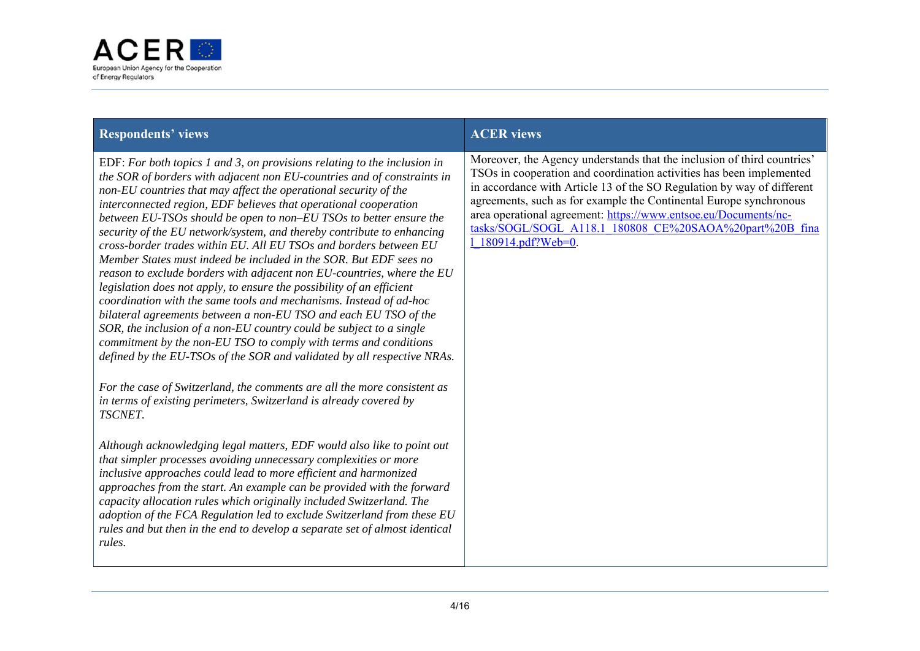

| <b>Respondents' views</b>                                                                                                                                                                                                                                                                                                                                                                                                                                                                                                                                                                                                                                                                                                                                                                                                                                                                                                                                                                                                                                                                                                                                                                                                                                  | <b>ACER</b> views                                                                                                                                                                                                                                                                                                                                                                                                                                    |
|------------------------------------------------------------------------------------------------------------------------------------------------------------------------------------------------------------------------------------------------------------------------------------------------------------------------------------------------------------------------------------------------------------------------------------------------------------------------------------------------------------------------------------------------------------------------------------------------------------------------------------------------------------------------------------------------------------------------------------------------------------------------------------------------------------------------------------------------------------------------------------------------------------------------------------------------------------------------------------------------------------------------------------------------------------------------------------------------------------------------------------------------------------------------------------------------------------------------------------------------------------|------------------------------------------------------------------------------------------------------------------------------------------------------------------------------------------------------------------------------------------------------------------------------------------------------------------------------------------------------------------------------------------------------------------------------------------------------|
| EDF: For both topics 1 and 3, on provisions relating to the inclusion in<br>the SOR of borders with adjacent non EU-countries and of constraints in<br>non-EU countries that may affect the operational security of the<br>interconnected region, EDF believes that operational cooperation<br>between EU-TSOs should be open to non–EU TSOs to better ensure the<br>security of the EU network/system, and thereby contribute to enhancing<br>cross-border trades within EU. All EU TSOs and borders between EU<br>Member States must indeed be included in the SOR. But EDF sees no<br>reason to exclude borders with adjacent non EU-countries, where the EU<br>legislation does not apply, to ensure the possibility of an efficient<br>coordination with the same tools and mechanisms. Instead of ad-hoc<br>bilateral agreements between a non-EU TSO and each EU TSO of the<br>SOR, the inclusion of a non-EU country could be subject to a single<br>commitment by the non-EU TSO to comply with terms and conditions<br>defined by the EU-TSOs of the SOR and validated by all respective NRAs.<br>For the case of Switzerland, the comments are all the more consistent as<br>in terms of existing perimeters, Switzerland is already covered by | Moreover, the Agency understands that the inclusion of third countries'<br>TSOs in cooperation and coordination activities has been implemented<br>in accordance with Article 13 of the SO Regulation by way of different<br>agreements, such as for example the Continental Europe synchronous<br>area operational agreement: https://www.entsoe.eu/Documents/nc-<br>tasks/SOGL/SOGL A118.1 180808 CE%20SAOA%20part%20B fina<br>1 180914.pdf?Web=0. |
| TSCNET.<br>Although acknowledging legal matters, EDF would also like to point out<br>that simpler processes avoiding unnecessary complexities or more<br>inclusive approaches could lead to more efficient and harmonized<br>approaches from the start. An example can be provided with the forward<br>capacity allocation rules which originally included Switzerland. The<br>adoption of the FCA Regulation led to exclude Switzerland from these EU<br>rules and but then in the end to develop a separate set of almost identical<br>rules.                                                                                                                                                                                                                                                                                                                                                                                                                                                                                                                                                                                                                                                                                                            |                                                                                                                                                                                                                                                                                                                                                                                                                                                      |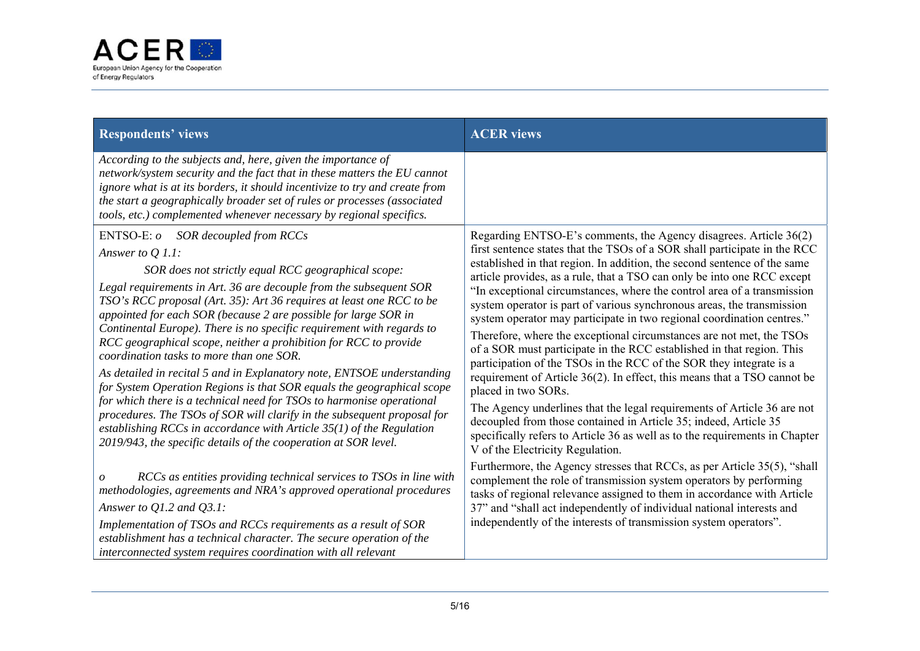

| <b>Respondents' views</b>                                                                                                                                                                                                                                                                                                                                                                                                                                                                                                                                                                                                                                                                                                                                                                                                                                                                                                                                                    | <b>ACER</b> views                                                                                                                                                                                                                                                                                                                                                                                                                                                                                                                                                                                                                                                                                                                                                                                                                                                                                                                                                                                                                                                                                                                 |
|------------------------------------------------------------------------------------------------------------------------------------------------------------------------------------------------------------------------------------------------------------------------------------------------------------------------------------------------------------------------------------------------------------------------------------------------------------------------------------------------------------------------------------------------------------------------------------------------------------------------------------------------------------------------------------------------------------------------------------------------------------------------------------------------------------------------------------------------------------------------------------------------------------------------------------------------------------------------------|-----------------------------------------------------------------------------------------------------------------------------------------------------------------------------------------------------------------------------------------------------------------------------------------------------------------------------------------------------------------------------------------------------------------------------------------------------------------------------------------------------------------------------------------------------------------------------------------------------------------------------------------------------------------------------------------------------------------------------------------------------------------------------------------------------------------------------------------------------------------------------------------------------------------------------------------------------------------------------------------------------------------------------------------------------------------------------------------------------------------------------------|
| According to the subjects and, here, given the importance of<br>network/system security and the fact that in these matters the EU cannot<br>ignore what is at its borders, it should incentivize to try and create from<br>the start a geographically broader set of rules or processes (associated<br>tools, etc.) complemented whenever necessary by regional specifics.                                                                                                                                                                                                                                                                                                                                                                                                                                                                                                                                                                                                   |                                                                                                                                                                                                                                                                                                                                                                                                                                                                                                                                                                                                                                                                                                                                                                                                                                                                                                                                                                                                                                                                                                                                   |
| ENTSO-E: o SOR decoupled from RCCs<br>Answer to Q 1.1:<br>SOR does not strictly equal RCC geographical scope:<br>Legal requirements in Art. 36 are decouple from the subsequent SOR<br>TSO's RCC proposal (Art. 35): Art 36 requires at least one RCC to be<br>appointed for each SOR (because 2 are possible for large SOR in<br>Continental Europe). There is no specific requirement with regards to<br>RCC geographical scope, neither a prohibition for RCC to provide<br>coordination tasks to more than one SOR.<br>As detailed in recital 5 and in Explanatory note, ENTSOE understanding<br>for System Operation Regions is that SOR equals the geographical scope<br>for which there is a technical need for TSOs to harmonise operational<br>procedures. The TSOs of SOR will clarify in the subsequent proposal for<br>establishing RCCs in accordance with Article $35(1)$ of the Regulation<br>2019/943, the specific details of the cooperation at SOR level. | Regarding ENTSO-E's comments, the Agency disagrees. Article 36(2)<br>first sentence states that the TSOs of a SOR shall participate in the RCC<br>established in that region. In addition, the second sentence of the same<br>article provides, as a rule, that a TSO can only be into one RCC except<br>"In exceptional circumstances, where the control area of a transmission<br>system operator is part of various synchronous areas, the transmission<br>system operator may participate in two regional coordination centres."<br>Therefore, where the exceptional circumstances are not met, the TSOs<br>of a SOR must participate in the RCC established in that region. This<br>participation of the TSOs in the RCC of the SOR they integrate is a<br>requirement of Article 36(2). In effect, this means that a TSO cannot be<br>placed in two SORs.<br>The Agency underlines that the legal requirements of Article 36 are not<br>decoupled from those contained in Article 35; indeed, Article 35<br>specifically refers to Article 36 as well as to the requirements in Chapter<br>V of the Electricity Regulation. |
| RCCs as entities providing technical services to TSOs in line with<br>methodologies, agreements and NRA's approved operational procedures<br>Answer to $Q1.2$ and $Q3.1$ :<br>Implementation of TSOs and RCCs requirements as a result of SOR<br>establishment has a technical character. The secure operation of the<br>interconnected system requires coordination with all relevant                                                                                                                                                                                                                                                                                                                                                                                                                                                                                                                                                                                       | Furthermore, the Agency stresses that RCCs, as per Article 35(5), "shall<br>complement the role of transmission system operators by performing<br>tasks of regional relevance assigned to them in accordance with Article<br>37" and "shall act independently of individual national interests and<br>independently of the interests of transmission system operators".                                                                                                                                                                                                                                                                                                                                                                                                                                                                                                                                                                                                                                                                                                                                                           |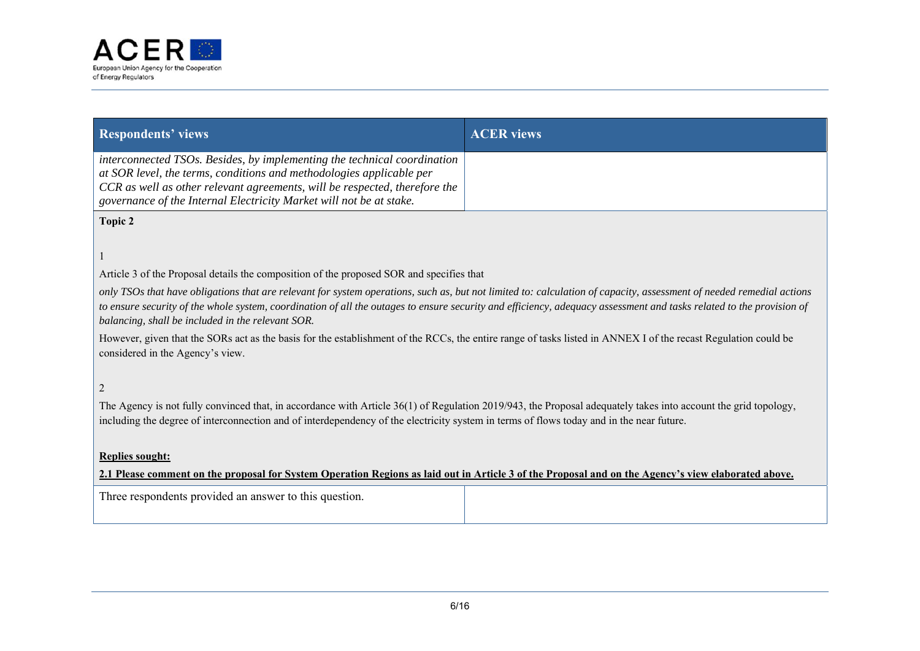

| <b>Respondents' views</b>                                                                                                                                                                                                                                                                                                                                                                         | <b>ACER</b> views |  |  |
|---------------------------------------------------------------------------------------------------------------------------------------------------------------------------------------------------------------------------------------------------------------------------------------------------------------------------------------------------------------------------------------------------|-------------------|--|--|
| interconnected TSOs. Besides, by implementing the technical coordination<br>at SOR level, the terms, conditions and methodologies applicable per<br>CCR as well as other relevant agreements, will be respected, therefore the<br>governance of the Internal Electricity Market will not be at stake.                                                                                             |                   |  |  |
| Topic 2                                                                                                                                                                                                                                                                                                                                                                                           |                   |  |  |
|                                                                                                                                                                                                                                                                                                                                                                                                   |                   |  |  |
| Article 3 of the Proposal details the composition of the proposed SOR and specifies that                                                                                                                                                                                                                                                                                                          |                   |  |  |
| only TSOs that have obligations that are relevant for system operations, such as, but not limited to: calculation of capacity, assessment of needed remedial actions<br>to ensure security of the whole system, coordination of all the outages to ensure security and efficiency, adequacy assessment and tasks related to the provision of<br>balancing, shall be included in the relevant SOR. |                   |  |  |
| However, given that the SORs act as the basis for the establishment of the RCCs, the entire range of tasks listed in ANNEX I of the recast Regulation could be<br>considered in the Agency's view.                                                                                                                                                                                                |                   |  |  |
| $\overline{c}$                                                                                                                                                                                                                                                                                                                                                                                    |                   |  |  |
| The Agency is not fully convinced that, in accordance with Article $36(1)$ of Regulation 2019/943, the Proposal adequately takes into account the grid topology,<br>including the degree of interconnection and of interdependency of the electricity system in terms of flows today and in the near future.                                                                                      |                   |  |  |
| <b>Replies sought:</b>                                                                                                                                                                                                                                                                                                                                                                            |                   |  |  |
| 2.1 Please comment on the proposal for System Operation Regions as laid out in Article 3 of the Proposal and on the Agency's view elaborated above.                                                                                                                                                                                                                                               |                   |  |  |
| Three respondents provided an answer to this question.                                                                                                                                                                                                                                                                                                                                            |                   |  |  |
|                                                                                                                                                                                                                                                                                                                                                                                                   |                   |  |  |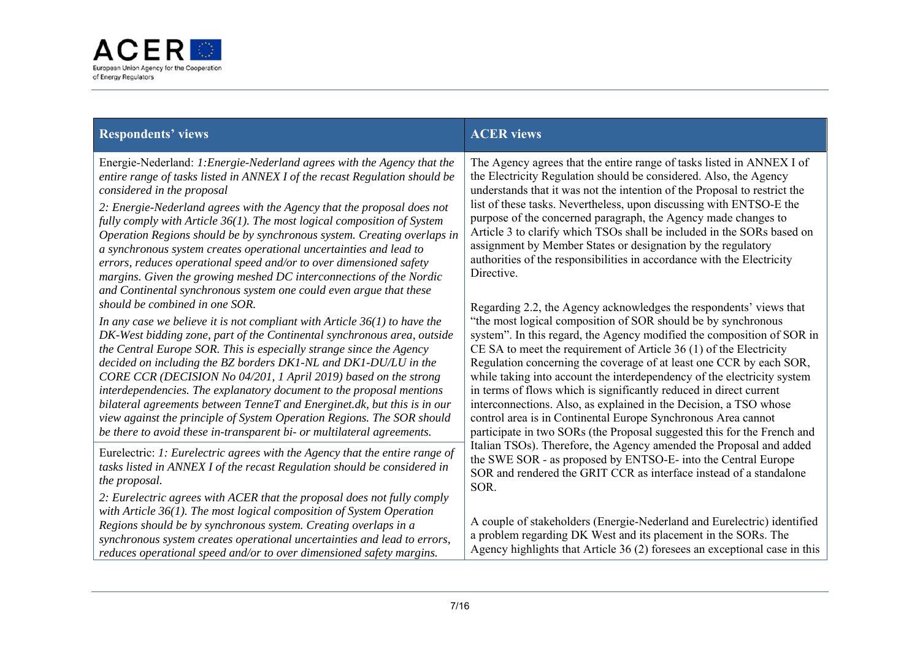

| <b>Respondents' views</b>                                                                                                                                                                                                                                                                                                                                                                                                                                                                                                                                                                                                                                                                                     | <b>ACER</b> views                                                                                                                                                                                                                                                                                                                                                                                                                                                                                                                                                                                                                                                                                                             |
|---------------------------------------------------------------------------------------------------------------------------------------------------------------------------------------------------------------------------------------------------------------------------------------------------------------------------------------------------------------------------------------------------------------------------------------------------------------------------------------------------------------------------------------------------------------------------------------------------------------------------------------------------------------------------------------------------------------|-------------------------------------------------------------------------------------------------------------------------------------------------------------------------------------------------------------------------------------------------------------------------------------------------------------------------------------------------------------------------------------------------------------------------------------------------------------------------------------------------------------------------------------------------------------------------------------------------------------------------------------------------------------------------------------------------------------------------------|
| Energie-Nederland: 1: Energie-Nederland agrees with the Agency that the<br>entire range of tasks listed in ANNEX I of the recast Regulation should be<br>considered in the proposal<br>2: Energie-Nederland agrees with the Agency that the proposal does not<br>fully comply with Article 36(1). The most logical composition of System<br>Operation Regions should be by synchronous system. Creating overlaps in<br>a synchronous system creates operational uncertainties and lead to<br>errors, reduces operational speed and/or to over dimensioned safety<br>margins. Given the growing meshed DC interconnections of the Nordic<br>and Continental synchronous system one could even argue that these | The Agency agrees that the entire range of tasks listed in ANNEX I of<br>the Electricity Regulation should be considered. Also, the Agency<br>understands that it was not the intention of the Proposal to restrict the<br>list of these tasks. Nevertheless, upon discussing with ENTSO-E the<br>purpose of the concerned paragraph, the Agency made changes to<br>Article 3 to clarify which TSOs shall be included in the SORs based on<br>assignment by Member States or designation by the regulatory<br>authorities of the responsibilities in accordance with the Electricity<br>Directive.                                                                                                                            |
| should be combined in one SOR.<br>In any case we believe it is not compliant with Article $36(1)$ to have the<br>DK-West bidding zone, part of the Continental synchronous area, outside<br>the Central Europe SOR. This is especially strange since the Agency<br>decided on including the BZ borders DK1-NL and DK1-DU/LU in the<br>CORE CCR (DECISION No 04/201, 1 April 2019) based on the strong<br>interdependencies. The explanatory document to the proposal mentions<br>bilateral agreements between TenneT and Energinet.dk, but this is in our<br>view against the principle of System Operation Regions. The SOR should<br>be there to avoid these in-transparent bi- or multilateral agreements. | Regarding 2.2, the Agency acknowledges the respondents' views that<br>"the most logical composition of SOR should be by synchronous<br>system". In this regard, the Agency modified the composition of SOR in<br>CE SA to meet the requirement of Article $36(1)$ of the Electricity<br>Regulation concerning the coverage of at least one CCR by each SOR,<br>while taking into account the interdependency of the electricity system<br>in terms of flows which is significantly reduced in direct current<br>interconnections. Also, as explained in the Decision, a TSO whose<br>control area is in Continental Europe Synchronous Area cannot<br>participate in two SORs (the Proposal suggested this for the French and |
| Eurelectric: 1: Eurelectric agrees with the Agency that the entire range of<br>tasks listed in ANNEX I of the recast Regulation should be considered in<br>the proposal.                                                                                                                                                                                                                                                                                                                                                                                                                                                                                                                                      | Italian TSOs). Therefore, the Agency amended the Proposal and added<br>the SWE SOR - as proposed by ENTSO-E- into the Central Europe<br>SOR and rendered the GRIT CCR as interface instead of a standalone<br>SOR.                                                                                                                                                                                                                                                                                                                                                                                                                                                                                                            |
| 2: Eurelectric agrees with ACER that the proposal does not fully comply<br>with Article $36(1)$ . The most logical composition of System Operation<br>Regions should be by synchronous system. Creating overlaps in a<br>synchronous system creates operational uncertainties and lead to errors,<br>reduces operational speed and/or to over dimensioned safety margins.                                                                                                                                                                                                                                                                                                                                     | A couple of stakeholders (Energie-Nederland and Eurelectric) identified<br>a problem regarding DK West and its placement in the SORs. The<br>Agency highlights that Article 36 (2) foresees an exceptional case in this                                                                                                                                                                                                                                                                                                                                                                                                                                                                                                       |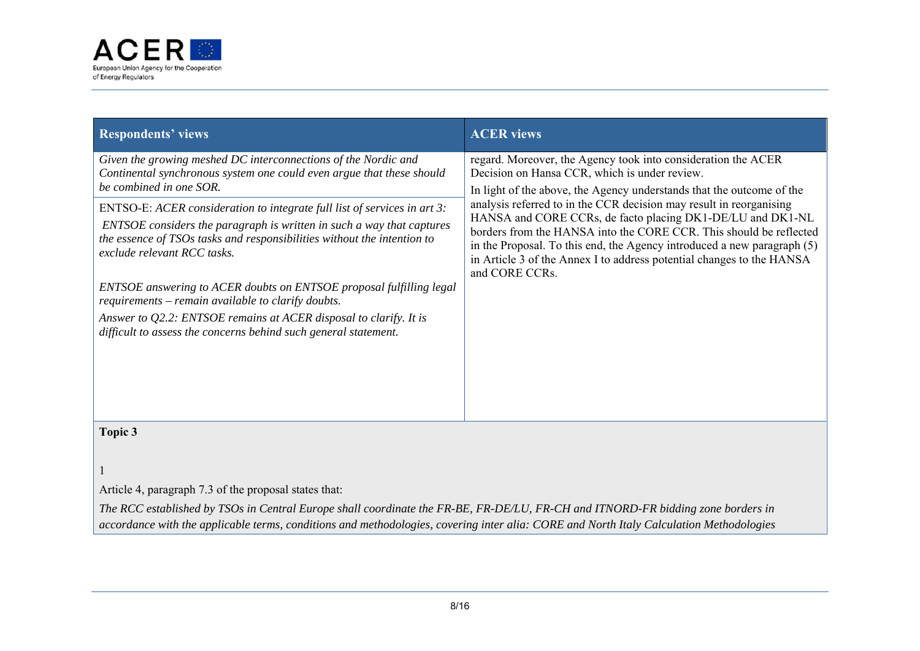

| <b>Respondents' views</b>                                                                                                                                                                                                                                                                                                                                                                                                                                                                                                                                                                                                                                                                              | <b>ACER</b> views                                                                                                                                                                                                                                                                                                                                                                                                                                                                                                                                                        |
|--------------------------------------------------------------------------------------------------------------------------------------------------------------------------------------------------------------------------------------------------------------------------------------------------------------------------------------------------------------------------------------------------------------------------------------------------------------------------------------------------------------------------------------------------------------------------------------------------------------------------------------------------------------------------------------------------------|--------------------------------------------------------------------------------------------------------------------------------------------------------------------------------------------------------------------------------------------------------------------------------------------------------------------------------------------------------------------------------------------------------------------------------------------------------------------------------------------------------------------------------------------------------------------------|
| Given the growing meshed DC interconnections of the Nordic and<br>Continental synchronous system one could even argue that these should<br>be combined in one SOR.<br>ENTSO-E: ACER consideration to integrate full list of services in art 3:<br>ENTSOE considers the paragraph is written in such a way that captures<br>the essence of TSOs tasks and responsibilities without the intention to<br>exclude relevant RCC tasks.<br>ENTSOE answering to ACER doubts on ENTSOE proposal fulfilling legal<br>requirements – remain available to clarify doubts.<br>Answer to Q2.2: ENTSOE remains at ACER disposal to clarify. It is<br>difficult to assess the concerns behind such general statement. | regard. Moreover, the Agency took into consideration the ACER<br>Decision on Hansa CCR, which is under review.<br>In light of the above, the Agency understands that the outcome of the<br>analysis referred to in the CCR decision may result in reorganising<br>HANSA and CORE CCRs, de facto placing DK1-DE/LU and DK1-NL<br>borders from the HANSA into the CORE CCR. This should be reflected<br>in the Proposal. To this end, the Agency introduced a new paragraph (5)<br>in Article 3 of the Annex I to address potential changes to the HANSA<br>and CORE CCRs. |
| Topic 3<br>Article 4, paragraph 7.3 of the proposal states that:<br>The RCC established by TSOs in Central Europe shall coordinate the FR-BE, FR-DE/LU, FR-CH and ITNORD-FR bidding zone borders in                                                                                                                                                                                                                                                                                                                                                                                                                                                                                                    |                                                                                                                                                                                                                                                                                                                                                                                                                                                                                                                                                                          |

*accordance with the applicable terms, conditions and methodologies, covering inter alia: CORE and North Italy Calculation Methodologies*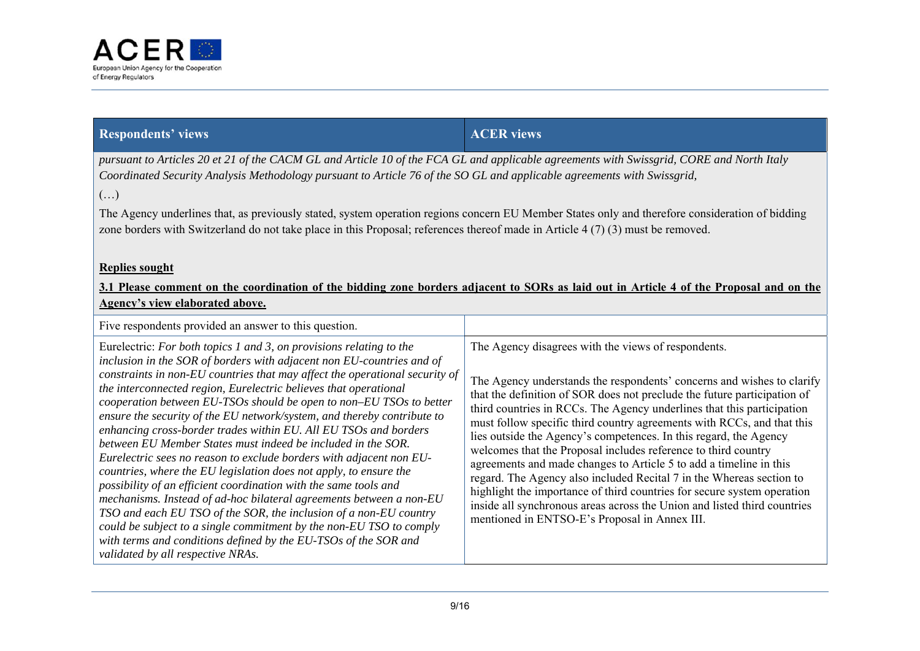

| <b>Respondents' views</b> | <b>ACER</b> views |
|---------------------------|-------------------|
|                           |                   |

*pursuant to Articles 20 et 21 of the CACM GL and Article 10 of the FCA GL and applicable agreements with Swissgrid, CORE and North Italy Coordinated Security Analysis Methodology pursuant to Article 76 of the SO GL and applicable agreements with Swissgrid,* 

 $\left(\ldots\right)$ 

The Agency underlines that, as previously stated, system operation regions concern EU Member States only and therefore consideration of bidding zone borders with Switzerland do not take place in this Proposal; references thereof made in Article 4 (7) (3) must be removed.

### **Replies sought**

| 3.1 Please comment on the coordination of the bidding zone borders adjacent to SORs as laid out in Article 4 of the Proposal and on the |  |  |  |  |
|-----------------------------------------------------------------------------------------------------------------------------------------|--|--|--|--|
| Agency's view elaborated above.                                                                                                         |  |  |  |  |

| Five respondents provided an answer to this question.                                                                                                                                                                                                                                                                                                                                                                                                                                                                                                                                                                                                                                                                                                                                                                                                                                                                                                                                                                                                                                                                            |                                                                                                                                                                                                                                                                                                                                                                                                                                                                                                                                                                                                                                                                                                                                                                                                                                                            |
|----------------------------------------------------------------------------------------------------------------------------------------------------------------------------------------------------------------------------------------------------------------------------------------------------------------------------------------------------------------------------------------------------------------------------------------------------------------------------------------------------------------------------------------------------------------------------------------------------------------------------------------------------------------------------------------------------------------------------------------------------------------------------------------------------------------------------------------------------------------------------------------------------------------------------------------------------------------------------------------------------------------------------------------------------------------------------------------------------------------------------------|------------------------------------------------------------------------------------------------------------------------------------------------------------------------------------------------------------------------------------------------------------------------------------------------------------------------------------------------------------------------------------------------------------------------------------------------------------------------------------------------------------------------------------------------------------------------------------------------------------------------------------------------------------------------------------------------------------------------------------------------------------------------------------------------------------------------------------------------------------|
| Eurelectric: For both topics 1 and 3, on provisions relating to the<br>inclusion in the SOR of borders with adjacent non EU-countries and of<br>constraints in non-EU countries that may affect the operational security of<br>the interconnected region, Eurelectric believes that operational<br>cooperation between EU-TSOs should be open to non-EU TSOs to better<br>ensure the security of the EU network/system, and thereby contribute to<br>enhancing cross-border trades within EU. All EU TSOs and borders<br>between EU Member States must indeed be included in the SOR.<br>Eurelectric sees no reason to exclude borders with adjacent non EU-<br>countries, where the EU legislation does not apply, to ensure the<br>possibility of an efficient coordination with the same tools and<br>mechanisms. Instead of ad-hoc bilateral agreements between a non-EU<br>TSO and each EU TSO of the SOR, the inclusion of a non-EU country<br>could be subject to a single commitment by the non-EU TSO to comply<br>with terms and conditions defined by the EU-TSOs of the SOR and<br>validated by all respective NRAs. | The Agency disagrees with the views of respondents.<br>The Agency understands the respondents' concerns and wishes to clarify<br>that the definition of SOR does not preclude the future participation of<br>third countries in RCCs. The Agency underlines that this participation<br>must follow specific third country agreements with RCCs, and that this<br>lies outside the Agency's competences. In this regard, the Agency<br>welcomes that the Proposal includes reference to third country<br>agreements and made changes to Article 5 to add a timeline in this<br>regard. The Agency also included Recital 7 in the Whereas section to<br>highlight the importance of third countries for secure system operation<br>inside all synchronous areas across the Union and listed third countries<br>mentioned in ENTSO-E's Proposal in Annex III. |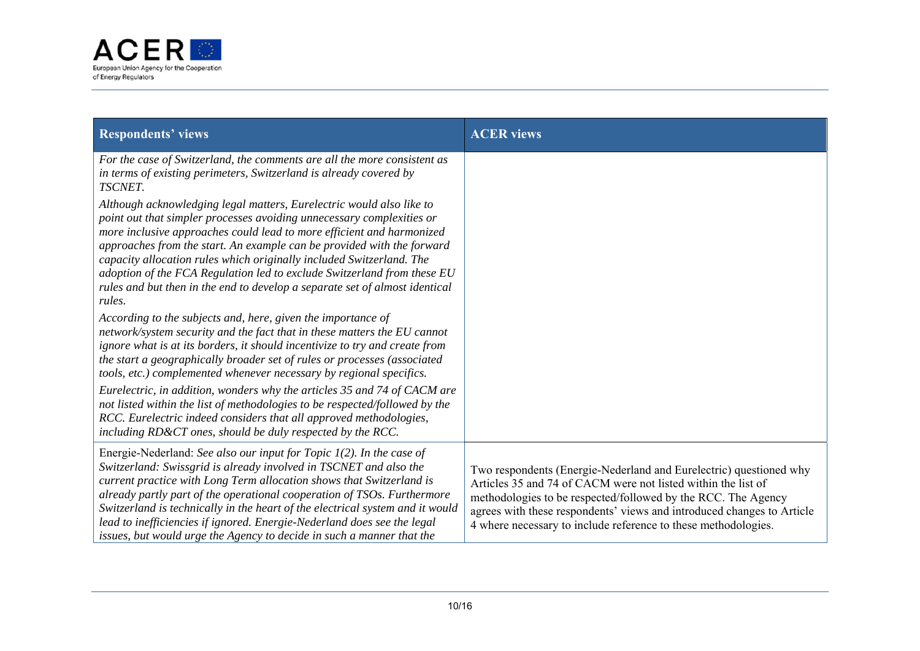

| <b>Respondents' views</b>                                                                                                                                                                                                                                                                                                                                                                                                                                                                                                                    | <b>ACER</b> views                                                                                                                                                                                                                                                                                                                                |
|----------------------------------------------------------------------------------------------------------------------------------------------------------------------------------------------------------------------------------------------------------------------------------------------------------------------------------------------------------------------------------------------------------------------------------------------------------------------------------------------------------------------------------------------|--------------------------------------------------------------------------------------------------------------------------------------------------------------------------------------------------------------------------------------------------------------------------------------------------------------------------------------------------|
| For the case of Switzerland, the comments are all the more consistent as<br>in terms of existing perimeters, Switzerland is already covered by<br>TSCNET.                                                                                                                                                                                                                                                                                                                                                                                    |                                                                                                                                                                                                                                                                                                                                                  |
| Although acknowledging legal matters, Eurelectric would also like to<br>point out that simpler processes avoiding unnecessary complexities or<br>more inclusive approaches could lead to more efficient and harmonized<br>approaches from the start. An example can be provided with the forward<br>capacity allocation rules which originally included Switzerland. The<br>adoption of the FCA Regulation led to exclude Switzerland from these EU<br>rules and but then in the end to develop a separate set of almost identical<br>rules. |                                                                                                                                                                                                                                                                                                                                                  |
| According to the subjects and, here, given the importance of<br>network/system security and the fact that in these matters the EU cannot<br>ignore what is at its borders, it should incentivize to try and create from<br>the start a geographically broader set of rules or processes (associated<br>tools, etc.) complemented whenever necessary by regional specifics.                                                                                                                                                                   |                                                                                                                                                                                                                                                                                                                                                  |
| Eurelectric, in addition, wonders why the articles 35 and 74 of CACM are<br>not listed within the list of methodologies to be respected/followed by the<br>RCC. Eurelectric indeed considers that all approved methodologies,<br>including RD&CT ones, should be duly respected by the RCC.                                                                                                                                                                                                                                                  |                                                                                                                                                                                                                                                                                                                                                  |
| Energie-Nederland: See also our input for Topic $I(2)$ . In the case of<br>Switzerland: Swissgrid is already involved in TSCNET and also the<br>current practice with Long Term allocation shows that Switzerland is<br>already partly part of the operational cooperation of TSOs. Furthermore<br>Switzerland is technically in the heart of the electrical system and it would<br>lead to inefficiencies if ignored. Energie-Nederland does see the legal<br>issues, but would urge the Agency to decide in such a manner that the         | Two respondents (Energie-Nederland and Eurelectric) questioned why<br>Articles 35 and 74 of CACM were not listed within the list of<br>methodologies to be respected/followed by the RCC. The Agency<br>agrees with these respondents' views and introduced changes to Article<br>4 where necessary to include reference to these methodologies. |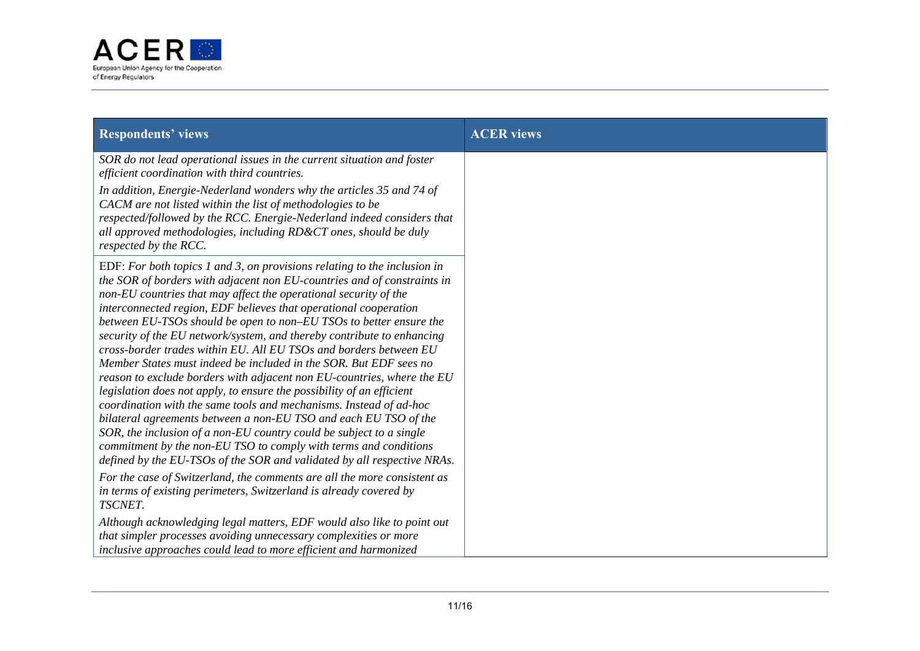

| <b>Respondents' views</b>                                                                                                                                                                                                                                                                                                                                                                                                                                                                                                                                                                                                                                                                                                                                                                                                                                                                                                                                                                                                                                                                                | <b>ACER</b> views |
|----------------------------------------------------------------------------------------------------------------------------------------------------------------------------------------------------------------------------------------------------------------------------------------------------------------------------------------------------------------------------------------------------------------------------------------------------------------------------------------------------------------------------------------------------------------------------------------------------------------------------------------------------------------------------------------------------------------------------------------------------------------------------------------------------------------------------------------------------------------------------------------------------------------------------------------------------------------------------------------------------------------------------------------------------------------------------------------------------------|-------------------|
| SOR do not lead operational issues in the current situation and foster<br>efficient coordination with third countries.                                                                                                                                                                                                                                                                                                                                                                                                                                                                                                                                                                                                                                                                                                                                                                                                                                                                                                                                                                                   |                   |
| In addition, Energie-Nederland wonders why the articles 35 and 74 of<br>CACM are not listed within the list of methodologies to be<br>respected/followed by the RCC. Energie-Nederland indeed considers that<br>all approved methodologies, including RD&CT ones, should be duly<br>respected by the RCC.                                                                                                                                                                                                                                                                                                                                                                                                                                                                                                                                                                                                                                                                                                                                                                                                |                   |
| EDF: For both topics 1 and 3, on provisions relating to the inclusion in<br>the SOR of borders with adjacent non EU-countries and of constraints in<br>non-EU countries that may affect the operational security of the<br>interconnected region, EDF believes that operational cooperation<br>between EU-TSOs should be open to non–EU TSOs to better ensure the<br>security of the EU network/system, and thereby contribute to enhancing<br>cross-border trades within EU. All EU TSOs and borders between EU<br>Member States must indeed be included in the SOR. But EDF sees no<br>reason to exclude borders with adjacent non EU-countries, where the EU<br>legislation does not apply, to ensure the possibility of an efficient<br>coordination with the same tools and mechanisms. Instead of ad-hoc<br>bilateral agreements between a non-EU TSO and each EU TSO of the<br>SOR, the inclusion of a non-EU country could be subject to a single<br>commitment by the non-EU TSO to comply with terms and conditions<br>defined by the EU-TSOs of the SOR and validated by all respective NRAs. |                   |
| For the case of Switzerland, the comments are all the more consistent as<br>in terms of existing perimeters, Switzerland is already covered by<br>TSCNET.                                                                                                                                                                                                                                                                                                                                                                                                                                                                                                                                                                                                                                                                                                                                                                                                                                                                                                                                                |                   |
| Although acknowledging legal matters, EDF would also like to point out<br>that simpler processes avoiding unnecessary complexities or more<br>inclusive approaches could lead to more efficient and harmonized                                                                                                                                                                                                                                                                                                                                                                                                                                                                                                                                                                                                                                                                                                                                                                                                                                                                                           |                   |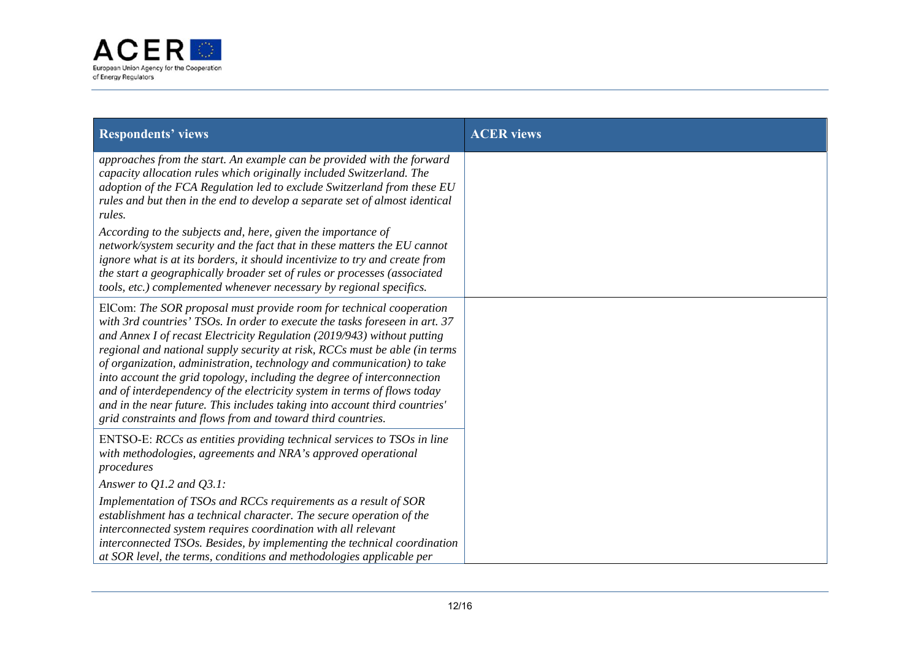

| <b>Respondents' views</b>                                                                                                                                                                                                                                                                                                                                                                                                                                                                                                                                                                                                                                                                 | <b>ACER</b> views |
|-------------------------------------------------------------------------------------------------------------------------------------------------------------------------------------------------------------------------------------------------------------------------------------------------------------------------------------------------------------------------------------------------------------------------------------------------------------------------------------------------------------------------------------------------------------------------------------------------------------------------------------------------------------------------------------------|-------------------|
| approaches from the start. An example can be provided with the forward<br>capacity allocation rules which originally included Switzerland. The<br>adoption of the FCA Regulation led to exclude Switzerland from these EU<br>rules and but then in the end to develop a separate set of almost identical<br>rules.<br>According to the subjects and, here, given the importance of<br>network/system security and the fact that in these matters the EU cannot                                                                                                                                                                                                                            |                   |
| ignore what is at its borders, it should incentivize to try and create from<br>the start a geographically broader set of rules or processes (associated<br>tools, etc.) complemented whenever necessary by regional specifics.                                                                                                                                                                                                                                                                                                                                                                                                                                                            |                   |
| ElCom: The SOR proposal must provide room for technical cooperation<br>with 3rd countries' TSOs. In order to execute the tasks foreseen in art. 37<br>and Annex I of recast Electricity Regulation (2019/943) without putting<br>regional and national supply security at risk, RCCs must be able (in terms<br>of organization, administration, technology and communication) to take<br>into account the grid topology, including the degree of interconnection<br>and of interdependency of the electricity system in terms of flows today<br>and in the near future. This includes taking into account third countries'<br>grid constraints and flows from and toward third countries. |                   |
| ENTSO-E: RCCs as entities providing technical services to TSOs in line<br>with methodologies, agreements and NRA's approved operational<br>procedures                                                                                                                                                                                                                                                                                                                                                                                                                                                                                                                                     |                   |
| Answer to $Q1.2$ and $Q3.1$ :<br>Implementation of TSOs and RCCs requirements as a result of SOR<br>establishment has a technical character. The secure operation of the<br>interconnected system requires coordination with all relevant<br>interconnected TSOs. Besides, by implementing the technical coordination<br>at SOR level, the terms, conditions and methodologies applicable per                                                                                                                                                                                                                                                                                             |                   |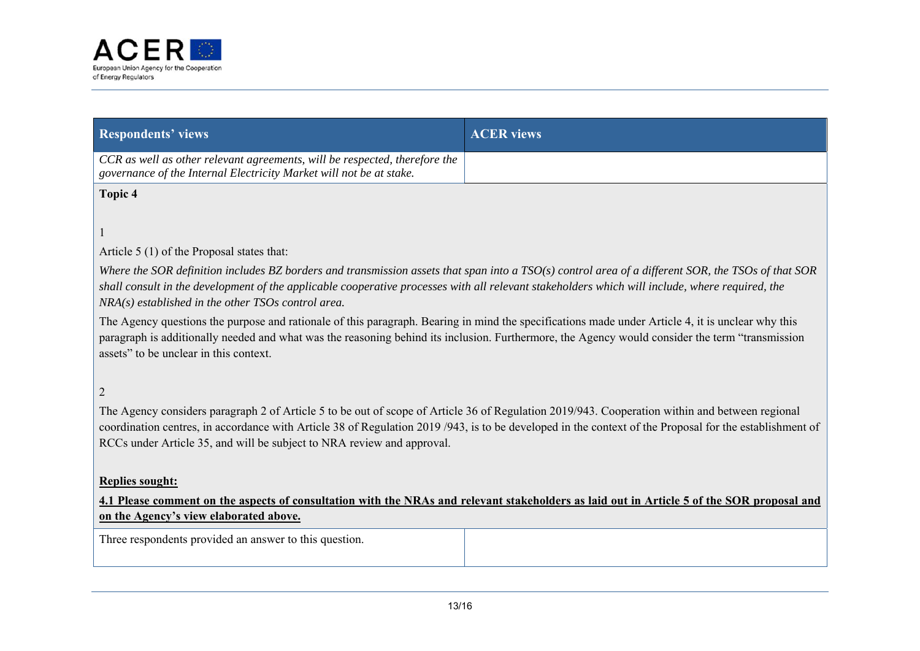

| <b>Respondents' views</b>                                                                                                                                                                                                                                                                                                                                                          | <b>ACER</b> views |  |
|------------------------------------------------------------------------------------------------------------------------------------------------------------------------------------------------------------------------------------------------------------------------------------------------------------------------------------------------------------------------------------|-------------------|--|
| CCR as well as other relevant agreements, will be respected, therefore the<br>governance of the Internal Electricity Market will not be at stake.                                                                                                                                                                                                                                  |                   |  |
| Topic 4                                                                                                                                                                                                                                                                                                                                                                            |                   |  |
|                                                                                                                                                                                                                                                                                                                                                                                    |                   |  |
| Article 5 (1) of the Proposal states that:                                                                                                                                                                                                                                                                                                                                         |                   |  |
| Where the SOR definition includes BZ borders and transmission assets that span into a $TSO(s)$ control area of a different SOR, the TSOs of that SOR<br>shall consult in the development of the applicable cooperative processes with all relevant stakeholders which will include, where required, the<br>$NRA(s)$ established in the other TSOs control area.                    |                   |  |
| The Agency questions the purpose and rationale of this paragraph. Bearing in mind the specifications made under Article 4, it is unclear why this<br>paragraph is additionally needed and what was the reasoning behind its inclusion. Furthermore, the Agency would consider the term "transmission<br>assets" to be unclear in this context.                                     |                   |  |
| $\overline{2}$                                                                                                                                                                                                                                                                                                                                                                     |                   |  |
| The Agency considers paragraph 2 of Article 5 to be out of scope of Article 36 of Regulation 2019/943. Cooperation within and between regional<br>coordination centres, in accordance with Article 38 of Regulation 2019/943, is to be developed in the context of the Proposal for the establishment of<br>RCCs under Article 35, and will be subject to NRA review and approval. |                   |  |
| <b>Replies sought:</b><br>4.1 Please comment on the aspects of consultation with the NRAs and relevant stakeholders as laid out in Article 5 of the SOR proposal and                                                                                                                                                                                                               |                   |  |

# **on the Agency's view elaborated above.**

Three respondents provided an answer to this question.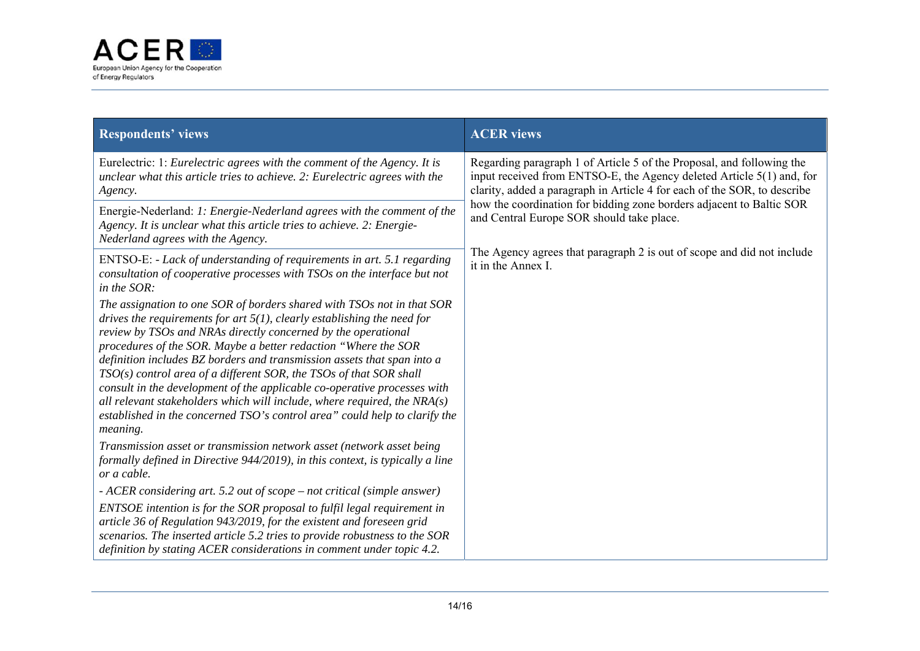

| <b>Respondents' views</b>                                                                                                                                                                                                                                                                                                                                                                                                                                                                                                                                                                                                                                                                      | <b>ACER</b> views                                                                                                                                                                                                                                                                                                                               |
|------------------------------------------------------------------------------------------------------------------------------------------------------------------------------------------------------------------------------------------------------------------------------------------------------------------------------------------------------------------------------------------------------------------------------------------------------------------------------------------------------------------------------------------------------------------------------------------------------------------------------------------------------------------------------------------------|-------------------------------------------------------------------------------------------------------------------------------------------------------------------------------------------------------------------------------------------------------------------------------------------------------------------------------------------------|
| Eurelectric: 1: Eurelectric agrees with the comment of the Agency. It is<br>unclear what this article tries to achieve. 2: Eurelectric agrees with the<br>Agency.                                                                                                                                                                                                                                                                                                                                                                                                                                                                                                                              | Regarding paragraph 1 of Article 5 of the Proposal, and following the<br>input received from ENTSO-E, the Agency deleted Article 5(1) and, for<br>clarity, added a paragraph in Article 4 for each of the SOR, to describe<br>how the coordination for bidding zone borders adjacent to Baltic SOR<br>and Central Europe SOR should take place. |
| Energie-Nederland: 1: Energie-Nederland agrees with the comment of the<br>Agency. It is unclear what this article tries to achieve. 2: Energie-<br>Nederland agrees with the Agency.                                                                                                                                                                                                                                                                                                                                                                                                                                                                                                           |                                                                                                                                                                                                                                                                                                                                                 |
| ENTSO-E: - Lack of understanding of requirements in art. 5.1 regarding<br>consultation of cooperative processes with TSOs on the interface but not<br>in the SOR:                                                                                                                                                                                                                                                                                                                                                                                                                                                                                                                              | The Agency agrees that paragraph 2 is out of scope and did not include<br>it in the Annex I.                                                                                                                                                                                                                                                    |
| The assignation to one SOR of borders shared with TSOs not in that SOR<br>drives the requirements for art $5(1)$ , clearly establishing the need for<br>review by TSOs and NRAs directly concerned by the operational<br>procedures of the SOR. Maybe a better redaction "Where the SOR<br>definition includes BZ borders and transmission assets that span into a<br>$TSO(s)$ control area of a different SOR, the TSOs of that SOR shall<br>consult in the development of the applicable co-operative processes with<br>all relevant stakeholders which will include, where required, the $NRA(s)$<br>established in the concerned TSO's control area" could help to clarify the<br>meaning. |                                                                                                                                                                                                                                                                                                                                                 |
| Transmission asset or transmission network asset (network asset being<br>formally defined in Directive 944/2019), in this context, is typically a line<br>or a cable.                                                                                                                                                                                                                                                                                                                                                                                                                                                                                                                          |                                                                                                                                                                                                                                                                                                                                                 |
| - ACER considering art. 5.2 out of scope – not critical (simple answer)                                                                                                                                                                                                                                                                                                                                                                                                                                                                                                                                                                                                                        |                                                                                                                                                                                                                                                                                                                                                 |
| ENTSOE intention is for the SOR proposal to fulfil legal requirement in<br>article 36 of Regulation 943/2019, for the existent and foreseen grid<br>scenarios. The inserted article 5.2 tries to provide robustness to the SOR<br>definition by stating ACER considerations in comment under topic 4.2.                                                                                                                                                                                                                                                                                                                                                                                        |                                                                                                                                                                                                                                                                                                                                                 |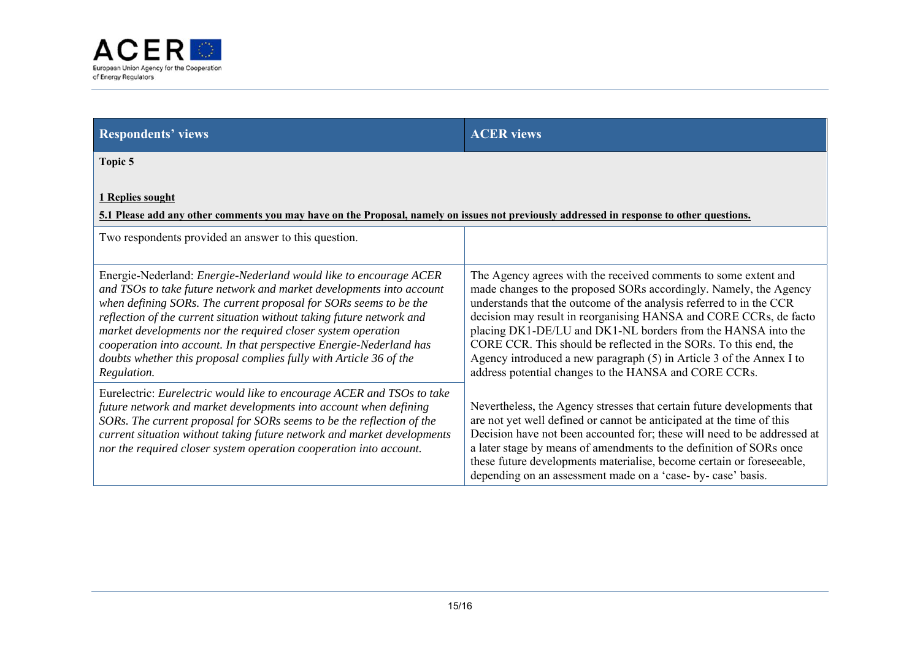

| <b>Respondents' views</b>                                                                                                                                                                                                                                                                                                                                                                                                                                                                                           | <b>ACER</b> views                                                                                                                                                                                                                                                                                                                                                                                                                                                                                                                                     |  |
|---------------------------------------------------------------------------------------------------------------------------------------------------------------------------------------------------------------------------------------------------------------------------------------------------------------------------------------------------------------------------------------------------------------------------------------------------------------------------------------------------------------------|-------------------------------------------------------------------------------------------------------------------------------------------------------------------------------------------------------------------------------------------------------------------------------------------------------------------------------------------------------------------------------------------------------------------------------------------------------------------------------------------------------------------------------------------------------|--|
| Topic 5                                                                                                                                                                                                                                                                                                                                                                                                                                                                                                             |                                                                                                                                                                                                                                                                                                                                                                                                                                                                                                                                                       |  |
| 1 Replies sought<br>5.1 Please add any other comments you may have on the Proposal, namely on issues not previously addressed in response to other questions.                                                                                                                                                                                                                                                                                                                                                       |                                                                                                                                                                                                                                                                                                                                                                                                                                                                                                                                                       |  |
| Two respondents provided an answer to this question.                                                                                                                                                                                                                                                                                                                                                                                                                                                                |                                                                                                                                                                                                                                                                                                                                                                                                                                                                                                                                                       |  |
| Energie-Nederland: Energie-Nederland would like to encourage ACER<br>and TSOs to take future network and market developments into account<br>when defining SORs. The current proposal for SORs seems to be the<br>reflection of the current situation without taking future network and<br>market developments nor the required closer system operation<br>cooperation into account. In that perspective Energie-Nederland has<br>doubts whether this proposal complies fully with Article 36 of the<br>Regulation. | The Agency agrees with the received comments to some extent and<br>made changes to the proposed SORs accordingly. Namely, the Agency<br>understands that the outcome of the analysis referred to in the CCR<br>decision may result in reorganising HANSA and CORE CCRs, de facto<br>placing DK1-DE/LU and DK1-NL borders from the HANSA into the<br>CORE CCR. This should be reflected in the SORs. To this end, the<br>Agency introduced a new paragraph (5) in Article 3 of the Annex I to<br>address potential changes to the HANSA and CORE CCRs. |  |
| Eurelectric: Eurelectric would like to encourage ACER and TSOs to take<br>future network and market developments into account when defining<br>SORs. The current proposal for SORs seems to be the reflection of the<br>current situation without taking future network and market developments<br>nor the required closer system operation cooperation into account.                                                                                                                                               | Nevertheless, the Agency stresses that certain future developments that<br>are not yet well defined or cannot be anticipated at the time of this<br>Decision have not been accounted for; these will need to be addressed at<br>a later stage by means of amendments to the definition of SORs once<br>these future developments materialise, become certain or foreseeable,<br>depending on an assessment made on a 'case- by- case' basis.                                                                                                          |  |